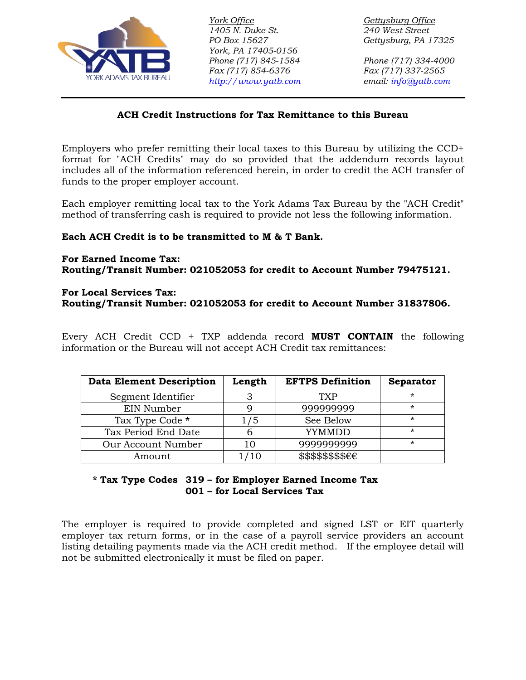

*1405 N. Duke St. 240 West Street Fax (717) 854-6376 Fax (717) 337-2565 [http://www.yatb.com](http://www.yatb.com/) email: [info@yatb.com](mailto:info@yatb.com) York, PA 17405-0156 PO Box 15627 Gettysburg, PA 17325 Phone (717) 845-1584 Phone (717) 334-4000*

*York Office* Gettysburg Office

# **ACH Credit Instructions for Tax Remittance to this Bureau**

Employers who prefer remitting their local taxes to this Bureau by utilizing the CCD+ format for "ACH Credits" may do so provided that the addendum records layout includes all of the information referenced herein, in order to credit the ACH transfer of funds to the proper employer account.

Each employer remitting local tax to the York Adams Tax Bureau by the "ACH Credit" method of transferring cash is required to provide not less the following information.

### **Each ACH Credit is to be transmitted to M & T Bank.**

#### **For Earned Income Tax: Routing/Transit Number: 021052053 for credit to Account Number 79475121.**

### **For Local Services Tax:**

**Routing/Transit Number: 021052053 for credit to Account Number 31837806.**

Every ACH Credit CCD + TXP addenda record **MUST CONTAIN** the following information or the Bureau will not accept ACH Credit tax remittances:

| <b>Data Element Description</b> | Length | <b>EFTPS Definition</b>                | <b>Separator</b> |
|---------------------------------|--------|----------------------------------------|------------------|
| Segment Identifier              | З      | TXP                                    | *                |
| EIN Number                      | O      | 999999999                              | *                |
| Tax Type Code *                 | 75.    | See Below                              | *                |
| Tax Period End Date             |        | YYMMDD                                 | *                |
| Our Account Number              | 10     | 9999999999                             | $\star$          |
| Amount                          | /10    | $$$ \$\$\$\$\$\$\$ $\epsilon \epsilon$ |                  |

# **\* Tax Type Codes 319 – for Employer Earned Income Tax 001 – for Local Services Tax**

The employer is required to provide completed and signed LST or EIT quarterly employer tax return forms, or in the case of a payroll service providers an account listing detailing payments made via the ACH credit method. If the employee detail will not be submitted electronically it must be filed on paper.